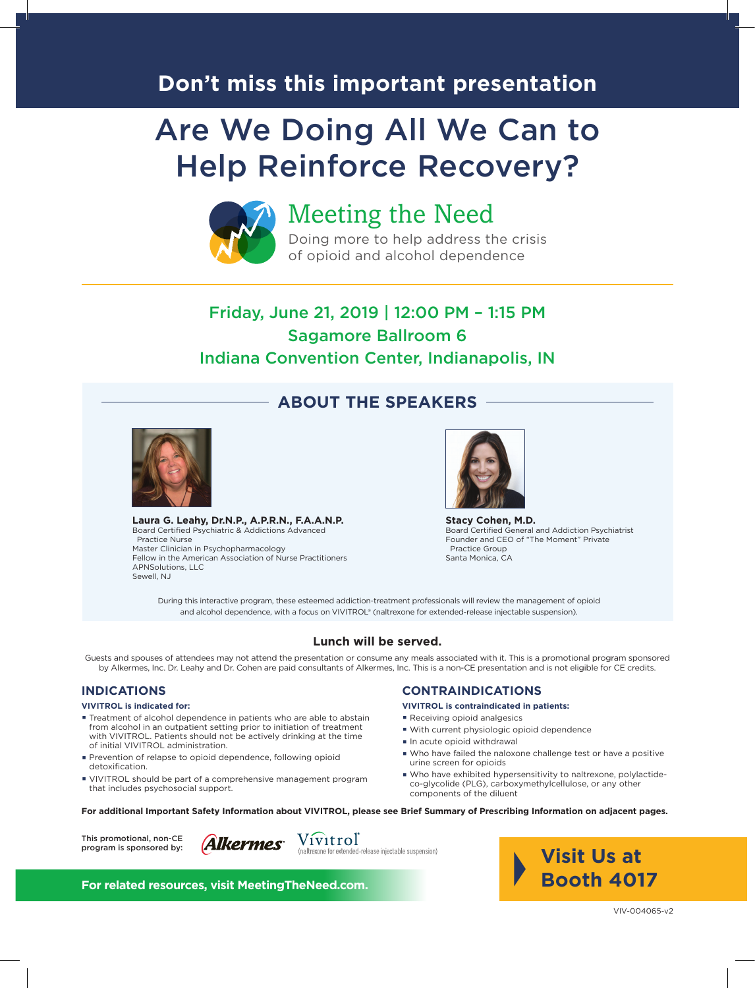## **Don't miss this important presentation**

# Are We Doing All We Can to Help Reinforce Recovery?



## Meeting the Need

Doing more to help address the crisis of opioid and alcohol dependence

### Friday, June 21, 2019 | 12:00 PM – 1:15 PM Sagamore Ballroom 6 Indiana Convention Center, Indianapolis, IN

**ABOUT THE SPEAKERS**



**Laura G. Leahy, Dr.N.P., A.P.R.N., F.A.A.N.P.** Board Certified Psychiatric & Addictions Advanced Practice Nurse Master Clinician in Psychopharmacology Fellow in the American Association of Nurse Practitioners APNSolutions, LLC Sewell, NJ



**Stacy Cohen, M.D.** Board Certified General and Addiction Psychiatrist Founder and CEO of "The Moment" Private Practice Group Santa Monica, CA

During this interactive program, these esteemed addiction-treatment professionals will review the management of opioid and alcohol dependence, with a focus on VIVITROL® (naltrexone for extended-release injectable suspension).

#### **Lunch will be served.**

Guests and spouses of attendees may not attend the presentation or consume any meals associated with it. This is a promotional program sponsored by Alkermes, Inc. Dr. Leahy and Dr. Cohen are paid consultants of Alkermes, Inc. This is a non-CE presentation and is not eligible for CE credits.

#### **INDICATIONS**

#### **VIVITROL is indicated for:**

- **·** Treatment of alcohol dependence in patients who are able to abstain from alcohol in an outpatient setting prior to initiation of treatment with VIVITROL. Patients should not be actively drinking at the time of initial VIVITROL administration.
- **·** Prevention of relapse to opioid dependence, following opioid detoxification.
- **·** VIVITROL should be part of a comprehensive management program that includes psychosocial support.

#### **CONTRAINDICATIONS**

#### **VIVITROL is contraindicated in patients:**

- **·** Receiving opioid analgesics
- **·** With current physiologic opioid dependence
- **·** In acute opioid withdrawal
- **·** Who have failed the naloxone challenge test or have a positive urine screen for opioids
- **·** Who have exhibited hypersensitivity to naltrexone, polylactideco-glycolide (PLG), carboxymethylcellulose, or any other components of the diluent

**For additional Important Safety Information about VIVITROL, please see Brief Summary of Prescribing Information on adjacent pages.**



Vivitrol **Alkermes** 

(naltrexone for extended-release injectable suspension)

**Visit Us at Booth 4017**

**For related resources, visit MeetingTheNeed.com.**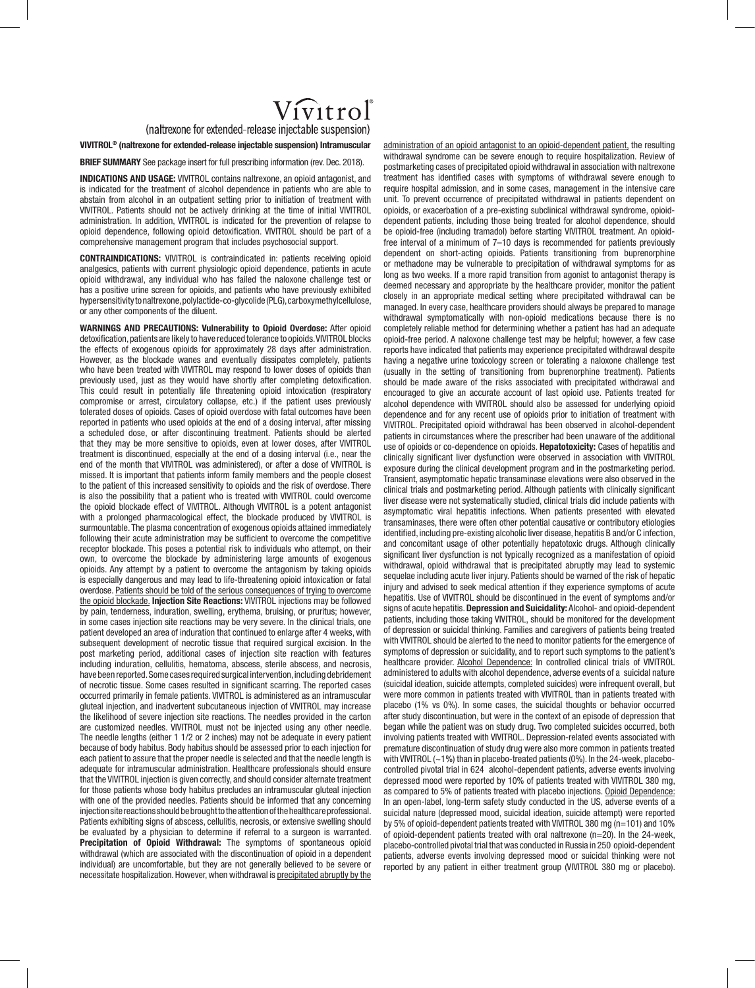# $V_{\rm 1V1}$ trol

(naltrexone for extended-release injectable suspension)

**VIVITROL® (naltrexone for extended-release injectable suspension) Intramuscular**

**BRIEF SUMMARY** See package insert for full prescribing information (rev. Dec. 2018).

**INDICATIONS AND USAGE:** VIVITROL contains naltrexone, an opioid antagonist, and is indicated for the treatment of alcohol dependence in patients who are able to abstain from alcohol in an outpatient setting prior to initiation of treatment with VIVITROL. Patients should not be actively drinking at the time of initial VIVITROL administration. In addition, VIVITROL is indicated for the prevention of relapse to opioid dependence, following opioid detoxification. VIVITROL should be part of a comprehensive management program that includes psychosocial support.

**CONTRAINDICATIONS:** VIVITROL is contraindicated in: patients receiving opioid analgesics, patients with current physiologic opioid dependence, patients in acute opioid withdrawal, any individual who has failed the naloxone challenge test or has a positive urine screen for opioids, and patients who have previously exhibited hypersensitivity to naltrexone, polylactide-co-glycolide (PLG), carboxymethylcellulose, or any other components of the diluent.

**WARNINGS AND PRECAUTIONS: Vulnerability to Opioid Overdose:** After opioid detoxification, patients are likely to have reduced tolerance to opioids. VIVITROL blocks the effects of exogenous opioids for approximately 28 days after administration. However, as the blockade wanes and eventually dissipates completely, patients who have been treated with VIVITROL may respond to lower doses of opioids than previously used, just as they would have shortly after completing detoxification. This could result in potentially life threatening opioid intoxication (respiratory compromise or arrest, circulatory collapse, etc.) if the patient uses previously tolerated doses of opioids. Cases of opioid overdose with fatal outcomes have been reported in patients who used opioids at the end of a dosing interval, after missing a scheduled dose, or after discontinuing treatment. Patients should be alerted that they may be more sensitive to opioids, even at lower doses, after VIVITROL treatment is discontinued, especially at the end of a dosing interval (i.e., near the end of the month that VIVITROL was administered), or after a dose of VIVITROL is missed. It is important that patients inform family members and the people closest to the patient of this increased sensitivity to opioids and the risk of overdose. There is also the possibility that a patient who is treated with VIVITROL could overcome the opioid blockade effect of VIVITROL. Although VIVITROL is a potent antagonist with a prolonged pharmacological effect, the blockade produced by VIVITROL is surmountable. The plasma concentration of exogenous opioids attained immediately following their acute administration may be sufficient to overcome the competitive receptor blockade. This poses a potential risk to individuals who attempt, on their own, to overcome the blockade by administering large amounts of exogenous opioids. Any attempt by a patient to overcome the antagonism by taking opioids is especially dangerous and may lead to life-threatening opioid intoxication or fatal overdose. Patients should be told of the serious consequences of trying to overcome the opioid blockade. **Injection Site Reactions:** VIVITROL injections may be followed by pain, tenderness, induration, swelling, erythema, bruising, or pruritus; however, in some cases injection site reactions may be very severe. In the clinical trials, one patient developed an area of induration that continued to enlarge after 4 weeks, with subsequent development of necrotic tissue that required surgical excision. In the post marketing period, additional cases of injection site reaction with features including induration, cellulitis, hematoma, abscess, sterile abscess, and necrosis, have been reported. Some cases required surgical intervention, including debridement of necrotic tissue. Some cases resulted in significant scarring. The reported cases occurred primarily in female patients. VIVITROL is administered as an intramuscular gluteal injection, and inadvertent subcutaneous injection of VIVITROL may increase the likelihood of severe injection site reactions. The needles provided in the carton are customized needles. VIVITROL must not be injected using any other needle. The needle lengths (either 1 1/2 or 2 inches) may not be adequate in every patient because of body habitus. Body habitus should be assessed prior to each injection for each patient to assure that the proper needle is selected and that the needle length is adequate for intramuscular administration. Healthcare professionals should ensure that the VIVITROL injection is given correctly, and should consider alternate treatment for those patients whose body habitus precludes an intramuscular gluteal injection with one of the provided needles. Patients should be informed that any concerning injection site reactions should be brought to the attention of the healthcare professional. Patients exhibiting signs of abscess, cellulitis, necrosis, or extensive swelling should be evaluated by a physician to determine if referral to a surgeon is warranted. **Precipitation of Opioid Withdrawal:** The symptoms of spontaneous opioid withdrawal (which are associated with the discontinuation of opioid in a dependent individual) are uncomfortable, but they are not generally believed to be severe or necessitate hospitalization. However, when withdrawal is precipitated abruptly by the

administration of an opioid antagonist to an opioid-dependent patient, the resulting withdrawal syndrome can be severe enough to require hospitalization. Review of postmarketing cases of precipitated opioid withdrawal in association with naltrexone treatment has identified cases with symptoms of withdrawal severe enough to require hospital admission, and in some cases, management in the intensive care unit. To prevent occurrence of precipitated withdrawal in patients dependent on opioids, or exacerbation of a pre-existing subclinical withdrawal syndrome, opioiddependent patients, including those being treated for alcohol dependence, should be opioid-free (including tramadol) before starting VIVITROL treatment. An opioidfree interval of a minimum of 7–10 days is recommended for patients previously dependent on short-acting opioids. Patients transitioning from buprenorphine or methadone may be vulnerable to precipitation of withdrawal symptoms for as long as two weeks. If a more rapid transition from agonist to antagonist therapy is deemed necessary and appropriate by the healthcare provider, monitor the patient closely in an appropriate medical setting where precipitated withdrawal can be managed. In every case, healthcare providers should always be prepared to manage withdrawal symptomatically with non-opioid medications because there is no completely reliable method for determining whether a patient has had an adequate opioid-free period. A naloxone challenge test may be helpful; however, a few case reports have indicated that patients may experience precipitated withdrawal despite having a negative urine toxicology screen or tolerating a naloxone challenge test (usually in the setting of transitioning from buprenorphine treatment). Patients should be made aware of the risks associated with precipitated withdrawal and encouraged to give an accurate account of last opioid use. Patients treated for alcohol dependence with VIVITROL should also be assessed for underlying opioid dependence and for any recent use of opioids prior to initiation of treatment with VIVITROL. Precipitated opioid withdrawal has been observed in alcohol-dependent patients in circumstances where the prescriber had been unaware of the additional use of opioids or co-dependence on opioids. **Hepatotoxicity:** Cases of hepatitis and clinically significant liver dysfunction were observed in association with VIVITROL exposure during the clinical development program and in the postmarketing period. Transient, asymptomatic hepatic transaminase elevations were also observed in the clinical trials and postmarketing period. Although patients with clinically significant liver disease were not systematically studied, clinical trials did include patients with asymptomatic viral hepatitis infections. When patients presented with elevated transaminases, there were often other potential causative or contributory etiologies identified, including pre-existing alcoholic liver disease, hepatitis B and/or C infection, and concomitant usage of other potentially hepatotoxic drugs. Although clinically significant liver dysfunction is not typically recognized as a manifestation of opioid withdrawal, opioid withdrawal that is precipitated abruptly may lead to systemic sequelae including acute liver injury. Patients should be warned of the risk of hepatic injury and advised to seek medical attention if they experience symptoms of acute hepatitis. Use of VIVITROL should be discontinued in the event of symptoms and/or signs of acute hepatitis. **Depression and Suicidality:** Alcohol- and opioid-dependent patients, including those taking VIVITROL, should be monitored for the development of depression or suicidal thinking. Families and caregivers of patients being treated with VIVITROL should be alerted to the need to monitor patients for the emergence of symptoms of depression or suicidality, and to report such symptoms to the patient's healthcare provider. Alcohol Dependence: In controlled clinical trials of VIVITROL administered to adults with alcohol dependence, adverse events of a suicidal nature (suicidal ideation, suicide attempts, completed suicides) were infrequent overall, but were more common in patients treated with VIVITROL than in patients treated with placebo (1% vs 0%). In some cases, the suicidal thoughts or behavior occurred after study discontinuation, but were in the context of an episode of depression that began while the patient was on study drug. Two completed suicides occurred, both involving patients treated with VIVITROL. Depression-related events associated with premature discontinuation of study drug were also more common in patients treated with VIVITROL  $(\sim 1\%)$  than in placebo-treated patients  $(0\%)$ . In the 24-week, placebocontrolled pivotal trial in 624 alcohol-dependent patients, adverse events involving depressed mood were reported by 10% of patients treated with VIVITROL 380 mg, as compared to 5% of patients treated with placebo injections. Opioid Dependence: In an open-label, long-term safety study conducted in the US, adverse events of a suicidal nature (depressed mood, suicidal ideation, suicide attempt) were reported by 5% of opioid-dependent patients treated with VIVITROL 380 mg (n=101) and 10% of opioid-dependent patients treated with oral naltrexone (n=20). In the 24-week, placebo-controlled pivotal trial that was conducted in Russia in 250 opioid-dependent patients, adverse events involving depressed mood or suicidal thinking were not reported by any patient in either treatment group (VIVITROL 380 mg or placebo).